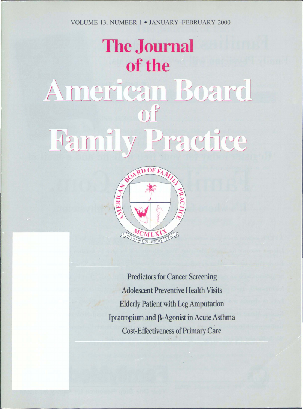### VOLUME ]3, NUMBER 1 • JANUARY-FEBRUARY 2000

# The Journal of the American Board  $0<sup>f</sup>$ Family Practice



Predictors for Cancer Screening Adolescent Preventive Health Visits Elderly Patient with Leg Amputation Ipratropium and  $\beta$ -Agonist in Acute Asthma Cost-Effectiveness of Primary Care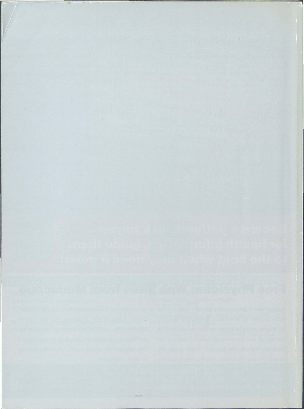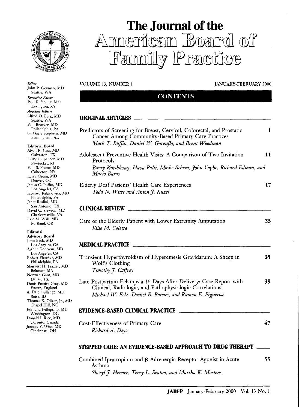

## **The Journal of the**  &]]ID®Irfi~WID IB3®mIrcID **®li**  Family Practice

#### VOLUME 13, NUMBER 1 JANUARY-FEBRUARY 2000

#### **CONTENTS**

#### **ORIGINAL ARTICLES**

| Predictors of Screening for Breast, Cervical, Colorectal, and Prostatic<br>Cancer Among Community-Based Primary Care Practices<br>Mack T. Ruffin, Daniel W. Gorenflo, and Brent Woodman   | 1  |
|-------------------------------------------------------------------------------------------------------------------------------------------------------------------------------------------|----|
| Adolescent Preventive Health Visits: A Comparison of Two Invitation<br>Protocols<br>Barry Knishkowy, Hava Palti, Moshe Schein, John Yaphe, Richard Edman, and<br>Mario Baras              | 11 |
| Elderly Deaf Patients' Health Care Experiences<br>Todd N. Witte and Anton J. Kuzel                                                                                                        | 17 |
| <b>CLINICAL REVIEW</b>                                                                                                                                                                    |    |
| Care of the Elderly Patient with Lower Extremity Amputation<br>Elise M. Coletta                                                                                                           | 23 |
| <b>MEDICAL PRACTICE.</b>                                                                                                                                                                  |    |
| Transient Hyperthyroidism of Hyperemesis Gravidarum: A Sheep in<br>Wolf's Clothing<br>Timothy 7. Caffrey                                                                                  | 35 |
| Late Postpartum Eclampsia 16 Days After Delivery: Case Report with<br>Clinical, Radiologic, and Pathophysiologic Correlations<br>Michael W. Felz, Daniel B. Barnes, and Ramon E. Figueroa | 39 |
| <b>EVIDENCE-BASED CLINICAL PRACTICE</b>                                                                                                                                                   |    |
| Cost-Effectiveness of Primary Care<br>Richard A. Deyo                                                                                                                                     | 47 |
| STEPPED CARE: AN EVIDENCE-BASED APPROACH TO DRUG THERAPY                                                                                                                                  |    |
| Combined Ipratropium and β-Adrenergic Receptor Agonist in Acute                                                                                                                           | 55 |

Asthma *Sheryl* J. *Herner, Terry L. Seaton, and Marsha K Mertens* 

*Edito,-* John P. Geyman, MD Seattle, WA *Executive Editor*  Paul R. Young, MD Lexington, KY *Associate Editors*  Alfred O. Berg, MD Seattle, WA Paul Brucker, MD Philadelphia, PA G. Gayle Stephens, MD Birmingham, AL

Editorial Board Alvah R. Cass, MD Galveston, TX Larry Culpepper, MD Pawtucket, RI Paul S. Frame, MD Cohocton, NY Larry Green, MD Denver, CO James c. Puffer, MD Los Angeles, CA Howard Rabinowitz, MD Philadelphia, PA Janet Realini, MD San Antonio, TX David C. Slawson, MD Charlottesville, VA Eric M. Wall, MD Portland, OR

Editorial

Advisory Board John Beck, MD Los Angeles, CA Arthur Donovan, MD Los Angeles, CA Robert Fletcher, MD Philadelphia, PA Shervert H. Frazier, MD Belmont, MA Norman Gant, MD Dallas, TX Denis Pereira Gray, MD Exeter, England A. Dale Gulledge, MD Boise,ID Thomas K. Oliver, Jr., MD Chapel Hill, NC Edmund Pellegrino, MD Washington, DC Donald I. Rice, MD Toronto, Canada Jerome F. Wiot, MD Cincinnati, OH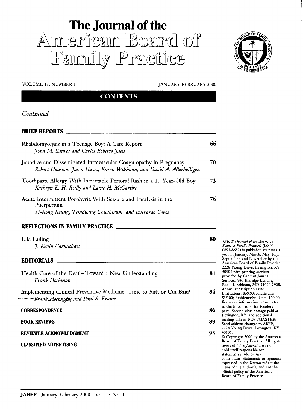## **The Journal of the**  Amnerican Board of Familly Practice



VOLUME 13, NUMBER 1 JANUARY-FEBRUARY 2000

**<:()NTENTS** 

### *Continued*

| <b>BRIEF REPORTS</b>                                                                                                                        |     |  |  |
|---------------------------------------------------------------------------------------------------------------------------------------------|-----|--|--|
| Rhabdomyolysis in a Teenage Boy: A Case Report<br>John M. Sauret and Carlos Roberto Jaen                                                    | 66  |  |  |
| Jaundice and Disseminated Intravascular Coagulopathy in Pregnancy<br>Robert Houston, Jason Hayes, Karen Wildman, and David A. Allerheiligen | 70  |  |  |
| Toothpaste Allergy With Intractable Perioral Rash in a 10-Year-Old Boy<br>Kathryn E. H. Reilly and Laine H. McCarthy                        | 73. |  |  |
| Acute Intermittent Porphyria With Seizure and Paralysis in the<br>Puerperium<br>Yi-Kong Keung, Temduang Chuahirum, and Everardo Cobos       | 76  |  |  |

#### **REFLECTIONS IN FAMILY PRACTICE**

| Lila Falling        |  |  |
|---------------------|--|--|
| 7. Kevin Carmichael |  |  |

#### **EDITORIAlS**

| Health Care of the Deaf – Toward a New Understanding<br>Frank Hochman                                    |  |  |  |
|----------------------------------------------------------------------------------------------------------|--|--|--|
| Implementing Clinical Preventive Medicine: Time to Fish or Cut Bait?<br>Frank Hochman, and Paul S. Frame |  |  |  |
| <b>CORRESPONDENCE</b>                                                                                    |  |  |  |
| <b>BOOK REVIEWS</b>                                                                                      |  |  |  |
| REVIEWER ACKNOWLEDGMENT                                                                                  |  |  |  |
| <b>CLASSIFIED ADVERTISING</b>                                                                            |  |  |  |
|                                                                                                          |  |  |  |
|                                                                                                          |  |  |  |

**80 81 84 86 89 93**  *JABFP (Journal of the American Board of Family Practice)* (ISSN 0893-8652) is published six times a year in January, March, May, July, September, and November by the American Board of Family Practice, 2228 Young Drive, Lexington, KY 40505 with printing services provided by Cadmus Journal Services, 940 Elkridge Landing Road, Linthicum, MD 21090-2908. Annual subscription rates: Institutions: \$60.00; Physicians: \$35 .00; Residents/Students: \$20.00. For more information please refer to the Information for Readers page. Second-class postage paid at Lexington, KY, and additional mailing offices. POSTMASTER: Send address changes to ABFP, 2228 Young Drive, Lexington, KY 40505. © Copyright 2000 by the American Board of Family Practice. All rights reserved. The *Journal* does not hold itself responsible for statements made by any contributor. Statements or opinions expressed in the *Journal* reflect the views of the author(s) and not the official policy of the American Board of Family Practice.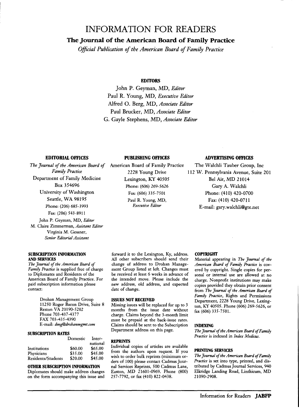### **INFORMATION FOR READERS**

#### **The Journal of the American Board of Family Practice**

*Official Publication of the American Board of Family Practice* 

#### **EDITORS**

John P. Geyman, MD, *Editor*  Paul R. Young, MD, *Executive Editor*  Alfred O. Berg, MD, *Associate Editor*  Paul Brucker, MD, *Associate Editor*  G. Gayle Stephens, MD, *Associate Editor* 

#### **EDITORIAL OFFICES**

*The Journal of the American Board of F amity Practice*  Department of Family Medicine Box 354696 University of Washington Seattle, WA 98195 Phone: (206) 685-3993 Fax: (206) 543-8911

John P. Geyman, MD, *Editor*  M. Claire Zimmerman, Assistant Editor Virginia M. Gessner, *Senior Editorial Assistant* 

#### **SUBSCRIYfION INFORMATION AND SERVICES**

*The Journal of the American Board of Family Practice* is supplied free of charge to Diplomates and Residents of the American Board of Family Practice. For paid subscription information please contact:

> Drohan Management Group 11250 Roger Bacon Drive, Suite 8 Reston VA 20190-5202 Phone 703-437-4377 FAX 703-435-4390 E-mail: *dmg@drohanmgmt.com*

#### **SUBSCRIYfION RATES**

|                    | Domestic | Inter-   |  |
|--------------------|----------|----------|--|
|                    |          | national |  |
| Institutions       | \$60.00  | \$65.00  |  |
| Physicians         | \$35.00  | \$45.00  |  |
| Residents/Students | \$20.00  | \$45.00  |  |

#### **OTHER SUBSCRIPTION INFORMATION**

Diplomates should make address changes on the form accompanying this issue and American Board of Family Practice 2228 Young Drive Lexington, KY 40505 Phone: (606) 269-5626 Fax: (606) 335-7501 Paul R. Young, MD, *Executive Editor* 

#### **PUBLISHING OFFICES ADVERTISING OFFICES**

The Walchli Tauber Group, Inc 112 W. Pennsylvania Avenue, Suite 201 Bel Air, MD 21014 Gary A. Walchli Phone: (410) 420-0700 Fax: (410) 420-0711 E-mail: gary.walchli@gte.net

forward it to the Lexington, Ky, address. All other subscribers should send their change of address to Drohan Management Group listed at left. Changes must be received at least 6 weeks in advance of the intended move. Please include the new address, old address, and expected date of change.

#### **ISSUES NOT RECEIVED**

Missing issues will be replaced for up to 3 months from the issue date without charge. Claims beyond the 3-month limit must be prepaid at the back-issue rates. Claims should be sent to the Subscription Department address on this page.

#### **REPRINfS**

Individual copies of articles are available from the authors upon request. If you wish to order bulk reprints (minimum orders of 100) please contact Cadmus Journal Services Reprints, 500 Cadmus Lane, Easton, MD 21601-0969. Phone (800) 257-7792, or fax (410) 822-0438.

#### **COPYRIGHT**

Material appearing in *The Journal of the American Board of Family Practice* is covered by copyright. Single copies for personal or internal use are allowed at no charge. Nonprofit institutions may make copies provided they obtain prior consent from *The Journal of the American Board of Family Practice,* Rights and Permissions Department, 2228 Young Drive, Lexington, KY 40505. Phone (606) 269-5626, or fax (606) 335-7501.

#### **INDEXING**

*The Journal of the American Board of Family Practice* is indexed in *Index Medicus.* 

#### **PRINTING SERVICES**

*The Journal of the American Board of Family Practice* is set into type, printed, and distributed by Cadmus Journal Services, 940 Elkridge Landing Road, Linthicum, MD 21090-2908.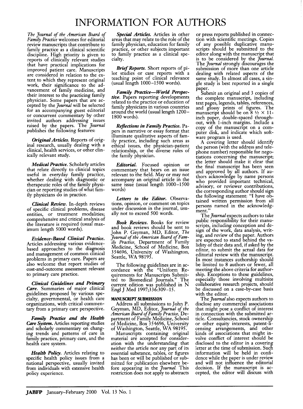## INFORMATION FOR AUTHORS

*The Journal of the American Board of Family Practice* welcomes for editorial review manuscripts that contribute to family practice as a clinical scientific discipline. High priority is given to reports of clinically relevant studies that have practical implications for improved patient care. Manuscripts are considered in relation to the extent to which they represent original work, their significance to the advancement of family medicine, and their interest to the practicing family physician. Some papers that are accepted by the *Journal* will be selected for an accompanying guest editorial or concurrent commentary by other invited authors addressing issues raised by the papers. The *Journal*  publishes the following features:

*Original Articles.* Reports of original research, usually dealing with a clinical, health services, or other clinically relevant study.

*Medical Practice.* Scholarly articles that relate directly to clinical topics useful in everyday family practice, whether dealing with diagnostic or therapeutic roles of the family physician or reporting studies of what family physicians do in practice.

*Clinical Review.* In-depth reviews of specific clinical problems, disease entities, or treatment modalities; comprehensive and critical analysis of the literature is required (usual maximum length 5000 words).

*Evitknce-Based Clinical Praaice.*  Articles addressing various evidencebased approaches to the diagnosis and management of common clinical problems in primary care. Papers are also welcome that report studies of cost-and-outcome assessment relevant to primary care practice.

*Clinical Guidelines and Primary Care.* Summaries of major clinical guidelines proposed by various specialty, governmental, or health care organizations, with critical commentary from a primary care perspective.

*Family Practice and the Health Care System.* Articles reporting studies and scholarly commentary on changing trends and patterns of care in family practice, primary care, and the health care system.

*Health Policy.* Articles relating to specific health policy issues from a national perspective, usually invited from individuals with extensive health policy experience.

*Special Articles.* Articles in other areas that may relate to the role of the family physician, education for family practice, or other subjects important to family practice as a clinical specialty.

*Brief Reports.* Short reports of pi-<br>lot studies or case reports with a teaching point of clinical relevance (usual length 1000-1500 words).

*Family Practice-World Perspective.* Papers reporting developments related to the practice or education of family physicians in various countries around the world (usual length 1200- 1800 words).

*Reflections in Family Praaice.* Papers in narrative or essay format that illuminate qualitative aspects of fam-<br>ily practice, including such areas as ethical issues, the physician-patient relationship, or the diverse roles of the family physician.

*Editorial.* Focused opinion or commentary that bears on an issue relevant to the field. May or may not<br>accompany an original article in the same issue (usual length  $1000-1500$ words)

*Letters to the Editor.* Observations, opinion, or comment on topics under discussion in the journal, usu- ally not to exceed 500 words.

*Book Reviews.* Books for review and book reviews should be sent to John P. Geyman, MD, Editor, *The Journal of the American Board of Family Practice,* Department of Family Medicine, School of Medicine, Box 354696, University of Washington, Seattle, WA 98195.

The following guidelines are in accordance with the "Uniform Requirements for Manuscripts Submitted to Biomedical Journals." The current edition was published in N EnglJ Med 1997;336:309-15.

#### MANUSCRIPT SUBMISSION

Address all submissions to John P. Geyman, MD, Editor, *Journal of the American Board of Family Practice,* Department of Family Medicine, School of Medicine, Box 354696, University of Washington, Seattle, WA 98195.

Manuscripts containing original material are accepted for consideration with the understanding that neither the article nor any part of its essential substance, tables, or figures has been or will be published or submitted for publication elsewhere before appearing in the *70urnal.* This restriction does not apply to abstracts or press reports published in connec-<br>tion with scientific meetings. Copies<br>of any possible duplicative manuof any possible duplicative manu- scripts should be submitted to the editor along with the manuscript that is to be considered by the *journal.*  The *Journal* strongly discourages the submission of more than one article<br>dealing with related aspects of the same study. In almost all cases, a single study is best reported in a single paper.

Submit an original and 3 copies of the complete manuscript, including text pages, legends, tables, references, and glossy prints of figures. The manuscript should be on  $8\frac{1}{2} \times 11$ inch paper, double-spaced through-<br>out, with 1-inch margins. Include a copy of the manuscript on a com-<br>puter disk, and indicate which soft-<br>ware program is used.

A covering letter should identify the person (with the address and telephone number) responsible for negotiations concerning the manuscript; the letter should make it clear that<br>the final manuscript has been seen and approved by all authors. If au-<br>thors acknowledge by name persons who provided important technical, advisory, or reviewer contributions, the corresponding author should sign the following statement: "I have obtained written permission from all persons named in the acknowledgment."

The *Journal* expects authors to take<br>public responsibility for their manuscripts, including conception and design of the work, data analysis, writing, and review of the paper. Authors are expected to stand behind the va- lidity of their data and, if asked by the editor, to submit the actual data for editorial review with the manuscript. In most instances authorship should be limited to 8 authors or fewer, all meeting the above criteria for authorship. Exceptions to these guidelines, especially those involving multisite collaborative research projects, should be discussed on a case-by-case basis with the editor.

The *Journal* also expects authors to disclose any commercial associations that might pose a conflict of interest in connection with the submitted article. Consultancies, stock ownership or other equity interests, patent-lIcensing arrangements, and other kinds of associations that might involve conflict of interest should be disclosed to the editor in a covering letter at the time of submission. Such information will be held in confidence while the paper is under review and will not influence the editorial decision. If the manuscript is ac- cepted, the editor will discuss with